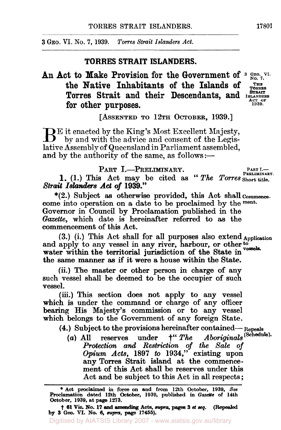**3 GEO. VI.** No. **7, 1939.** *Torres Strait Islanders Act.* 

### **TORRES STRAIT ISLANDERS.**

# An Act to Make Provision for the Government of  $3^{GBCO}$ . VI. the Native Inhabitants of the Islands of TORRES **Torres Strait and their Descendants, and ISLANDERS**<br> **For other purposes** for other purposes.

**STRAIT** 

[ASSENTED TO 12TH OCTOBER, 1939.]

 $B<sup>E</sup>$  it enacted by the King's Most Excellent Majesty, by and with the advice and consent of the Legislative Assembly of Queensland in Parliament assembled, and by the authority of the same, as follows :-

PART I.-PRELIMINARY. PART I.-

**1.** (1.) This Act may be cited as "The Torres Short title. \*(2.) Subject **as** otherwise provided, this Act shall commenes. *Strait Islanders Act of* 1939."

come into operation on a date to be proclaimed by the ment-Governor in Council by Proclamation published in the *Gazette,* which date is hereinafter referred to as the commencement of this Act.

and apply to any vessel in any river, harbour, or other to water within the territorial jurisdiction of the State in the same manner **as** if it were a house within the **State.**  (3.) (i.) This Act shall for **all** purposes also extend Application

(ii.) The master or other person in charge of any such vessel shall be deemed to be the occupier of such vessel.

(iii.) This section **does** not apply to any vessel which is under the command or charge of any officer bearing His Majesty's commission or to any vessel which belongs to the Government of any foreign State.

(4.) Subject to the provisions hereinafter contained— Repeals

*(a)* All reserves under  $\dagger$ " *The Protection and Restriction of the Sale of Opium Acts,* 1897 *to* 1934," existing upon any Torres Strait island at the commencement of this Act shall be reserves under this Act and be subject to this Act in all respects ; **(Schedule).** 

<sup>\*</sup> **Act** proclaimed in **force** on and from 12th October, 1939, **See**  Proclamation **dated** 12th **October,** 1939, published in *Gtazette* **of** 14th October, 1939, at page 1273.

<sup>(</sup>Repealed **by 3** Geo. **VI. No.** *6, supra,* **pege** 17466). † **61** Vic. **No.** 17 and **amending** Acts, *supra,* pages 3 *et seq.*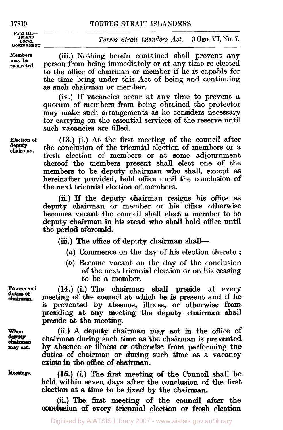#### 17810 TORRES STRAIT ISLANDERS.

**PART III.- ISLAND LOCAL GOVERNMENT.** 

**Members re-elected. may be** 

(iii.) Nothing herein contained shall prevent any person from being immediately or at any time re-elected to the office of chairman or member if he is capable for the time being under this Act of being and continuing as such chairman **or** member.

(iv.) If vacancies occur at any time to prevent a quorum of members from being obtained the protector may make such arrangements as he considers necessary for carrying on the essential services of the reserve until such vacancies are filled.

**Election of chairman. deputy** 

(13.) (i.) At the first meeting of the council after the conclusion of the triennial election of members or a fresh election of members or at some adjournment thereof the members present shall elect one of the members to be deputy chairman who shall, except as hereinafter provided, hold office until the conclusion of the next triennial election of members.

(ii.) If the deputy chairman resigns his office as deputy chairman or member or his office otherwise becomes vacant the council shall elect a member to be deputy chairman in **his** stead who shall hold office until the period aforesaid.

(iii.) The office of deputy chairman shall-

- (a) Commence on the day of his election thereto ;
- (b) Become vacant on the day of the conclusion **of** the next triennial election or on **his** ceasing to be a member.

**duties of** 

**Powers and (14.) (i.) The chairman shall preside at every** meeting of the council at which he is present and if he is prevented by absence, illness, or otherwise **from**  presiding at any meeting the deputy chairman shall preside at the meeting.

> (ii.) A deputy chairman may act in the office **of**  chairman during such time **as** the chairman is prevented by absence or **illness** or otherwise from performing the duties of chairman **or** during such time as a vacancy exists in the office of chairman.

> (16.) (i.) The first meeting of the Council shall be held within seven days after the conclusion **of** the first election at a time to be fixed by the chairman.

> **(ii.)** The **first** meeting **of** the council **after** the conclusion **of** every triennial election **or** fresh election

**When may act.** 

**Meetings.**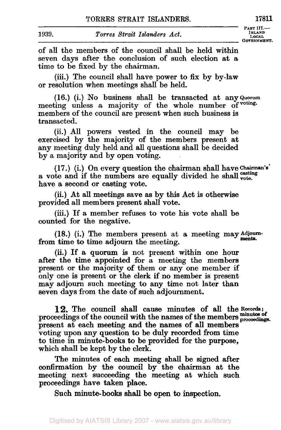**PART III.-**<br>*ISLAND* 

of all the members of the council shall be held within seven days after the conclusion of such election at a time to be fixed by the chairman.

(iii.) The council shall have power to fix by by-law or resolution when meetings shall be held.

(16.) (i.) No business shall be transacted at any Quorum meeting unless a majority of the whole number of voting. members of the council are present when such business is transacted.

(ii.) All powers vested in the council may be exercised by the majority of the members present at any meeting duly held and all questions shall be decided by a majority and by open voting.

a vote and if the numbers are equally divided he shall  $_{\text{vote}}^{\text{casting}}$ have a second or casting vote. (17.) (i.) On every question the chairman shall have Chairman's

(ii.) At all meetings save **as** by this Act is otherwise provided all members present shall vote.

(iii.) If a member refuses to vote **his** vote shall be counted for the negative.

(18.) (i.) The members present at a meeting may Adjourn-<br>time to time ediaurn the meeting from time to time adjourn the meeting.

(ii.) If a quorum is not present within one hour after the time appointed for a meeting the members present or the majority of them or any one member if only one is present or the clerk if no member is present may adjourn such meeting to any time not later than seven days from the date of such adjournment.

**12.** The council shall cause minutes of all the Records; proceedings of the council with the names of the members proceedings. present at each meeting and the names of all members voting upon any question to be duly recorded from time to time in minute-books to be provided for the purpose, which shall be kept by the clerk.

The minutes of each meeting shall be signed after confirmation by the council by the chairman at the meeting next succeeding the meeting at which such proceedings have taken place.

Such minute-books shall be open to inspection.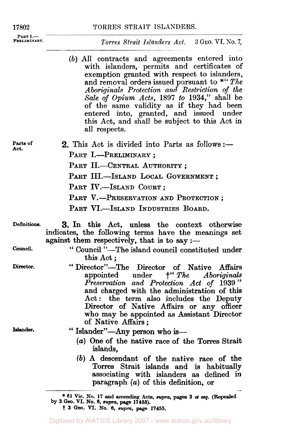**PART I.-** PRELIMINARY.

**17802** TORRES STRAIT ISLANDERS.

#### *Torres Strait Islanders Act.* **3 GEO.** VI. **No. 7,**

(b) All contracts and agreements entered into with islanders, permits and certificates of exemption granted with respect to islanders, and removal orders issued pursuant to \*" The A *boriginals Protection and Restriction* of *the Sale of Opium Acts,* **1897** *to* **1934,"** shall be of the same validity as if they had been entered into, granted, and issued under this Act, and shall be subject to this Act in all respects.

**Parts of Act.** 

**2.** This Act is divided into Parts as follows: $\frac{...}{...}$ 

- PART I.-PRELIMINARY ;
- PART II.-CENTRAL AUTHORITY;
- PART III.-ISLAND LOCAL GOVERNMENT ;
- PART IV.-ISLAND COURT ;
- PART V.-PRESERVATION AND PROTECTION;
- PART VI.-ISLAND INDUSTRIES BOARD.
- Definitions. **3.** In this Act, unless the context otherwise indicates, the following terms have the meanings set against them respectively, that is to say :-
- **council.**
- 
- **Director.**

**Islander.** 

- " Council "-The island council constituted under<br>this Act;
- this Act;<br>
" Director"—The Director of Native Affairs<br>
appointed under  $f''$  The Aboriginals  $\ddot{ }$   $\ddot{ }$   $\dddot{ }$   $\dddot{ }$   $\dddot{ }$   $\dddot{ }$   $\dddot{ }$   $\dddot{ }$   $\dddot{ }$   $\dddot{ }$   $\dddot{ }$   $\dddot{ }$   $\dddot{ }$   $\dddot{ }$   $\dddot{ }$   $\dddot{ }$   $\dddot{ }$   $\dddot{ }$   $\dddot{ }$   $\dddot{ }$   $\dddot{ }$   $\dddot{ }$   $\dddot{ }$   $\dddot{ }$   $\dddot{ }$   $\dddot{ }$   $\dddot{ }$   $\dddot{$ *Preservation and Protection Act* of **1939"**  and charged with the administration of this Act: the term also includes the Deputy Director of Native Affairs or any officer who may be appointed as Assistant Director of Native Affairs;
	- " Islander"-Any person who is-
		- *(a)* One of the native race of the Torres Strait islands,
		- *(b)* A descendant of the native race of the Torres Strait islands and is habitually associating with islanders as defined in paragraph *(a)* of this definition, or

**<sup>61</sup> Vic. No. 17 and amending Acta, supra, pages 3** *et seq.* **(Repealed**  t **3 Geo. VI. NO. 6.** *supra,* **page 17455. by 3** *Geo.* **VI. No. 6,** *supra,* **page 17455).**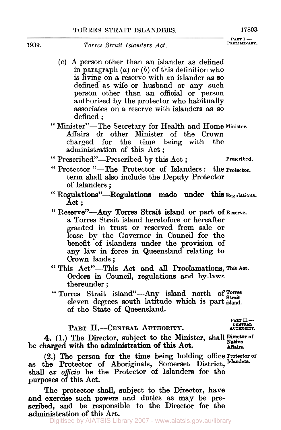- *(c)* A person other than an islander as defined in paragraph *(a)* or *(b)* of this definition who is living on a reserve with an islander as so defined as **wife** or husband or any such person other than an official or person authorised by the protector who habitually associates on a reserve with islanders as so defined ;
- " Minister"-The Secretary for Health and Home **Minister.**  Affairs **or** other Minister of the Crown charged for the time being with the administration of this Act ;
- " Prescribed"-Prescribed by this Act; Prescribed.

- " Protector "-The Protector of Islanders: the Protector. term shall also include the Deputy Protector of Islanders ;
- Act ; '' Regulations"-Regulations made under this **Regulations.**
- a Torres Strait island heretofore **or** hereafter granted in trust **or** reserved from sale **or**  lease by the Governor in Council for the benefit of islanders under the provision of any law in force in Queensland relating to Crown lands; Act ;<br>" Reserve"—Any Torres Strait island or part of Reserve.
- Orders in Council, regulations and by-laws thereunder ; " This Act"-This Act and **all** Proclamations, This **Act.**
- thereunder;<br>
"Torres Strait island"—Any island north of Torres eleven degrees south latitude which is part island. of the State of Queensland.

**CENTRAL-** PART II.-CENTRAL AUTHORITY. **AUTHORITY.** 

**PART II.-** 

4. (1.) The Director, subject to the Minister, shall Director of be charged with the administration of this Act. Affairs.

**(2.)** The **person** for the time being holding Office Protector of as the Protector **of** Aboriginals, Somerset District, Islenders. shall *ex offico* be the Protector of Islanders **for** the purposes of this Act.

The protector shall, subject to the Director, have and exercise such powers and duties as may be prescribed, and be responsible to the Director for the administration **of** this Act.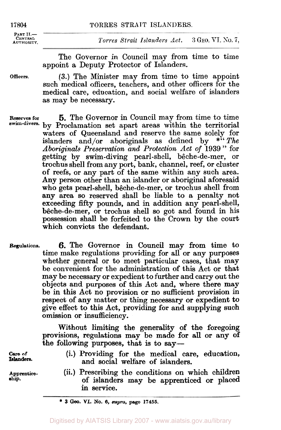| TORRES STRAIT ISLANDERS. |
|--------------------------|
|                          |

PART **II.**-**AUTHORITY.** 

 $Torres \, Strat \, Islands$   $Islanders \, Act.$  **3 GEO. VI. No. 7,** 

The Governor in Council may from time to time appoint a Deputy Protector of Islanders.

**Officers.** 

**(3.)** The Minister may from time to time appoint such medical officers, teachers, and other officers for the medical care, education, and social welfare of islanders as may be necessary.

**Reserves for** *5.* The Governor in Council may from time to time by Proclamation set apart areas within the territorial **swim-divers.**  waters of Queensland and reserve the same solely for islanders and/or aboriginals as defined by *\*"The Aboriginals Preservation and Protection Act* of **<sup>1939</sup>**" for getting by swim-diving pearl-shell, bêche-de-mer, or trochus shell from any port, bank, channel, reef, **or** cluster **of** reefs, **or** any part of the same within any such area. **Any** person other than an islander or aboriginal aforesaid who gets pearl-shell, bêche-de-mer, **or** trochus shell from any area *so* reserved shall be liable to a penalty not exceeding fifty pounds, and in addition any pearl-shell, bêche-de-mer, **or** trochus shell *so* got and found in his possession shall be forfeited to the Crown by the court which convicts the defendant.

**Regulations. 6.** The Governor in Council may from time to time make regulations providing for all **or** any purposes whether general or to meet particular cases, that may be convenient for the administration of this Act or that may be necessary **or** expedient to further and carry out the objects and purposes of this Act and, where there may be in this Act no provision **or** no sufficient provision in respect of any matter or thing necessary **or** expedient to give effect to this Act, providing **for** and supplying such omission or insufficiency.

> Without limiting the generality **of** the foregoing provisions, regulations may be made **for** all **or** any of the following purposes, that is to *say-*

**Care of lslanders.** 

**Apprenticeship.** 

- **(i.)** Providing for the medical care, education, and social welfare of islanders.
- (ii.) Prescribing the conditions on which children of islanders may be apprenticed **or** placed in service.

<sup>\*</sup> **3 Geo. VI. No.** *6, supra.* **page 17455.**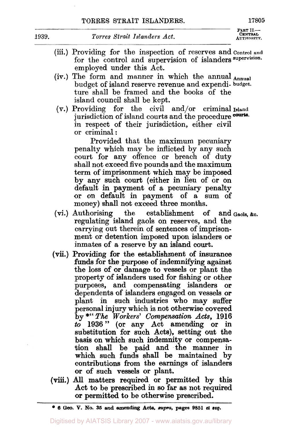**PART II.---<br>CENTRAL<br>AUTHORITY.** 

- (iii.) Providing for the inspection of reserves and Control and for the control and supervision of islanders **supervision.**  employed under this Act.
- (iv.) The form and manner in which the annual  $_{\text{Annual}}$ budget of island reserve revenue and expendi- **budget.**  ture shall be framed and the books of the island council shall be kept.
- (V.) Providing for the civil and/or criminal Island jurisdiction of island courts and the procedure courts. in respect of their jurisdiction, either civil or criminal:

Provided that the maximum pecuniary penalty which may be inflicted by any such court for any offence or breach of duty shall not exceed five pounds and the maximum term of imprisonment which may be imposed by any such court (either in lieu of or on default in payment of a pecuniary penalty or on default in payment of a sum **of**  money) shall not exceed three months.

- (vi.) Authorising the establishment of and Gaols, &c. regulating island gaols on reserves, and the carrying out therein **of** sentences of imprisonment or detention imposed upon islanders **or**  inmates of a reserve by an island **court.**
- **(vii.)** Providing **for** the establishment **of** insurance funds for the purpose of indemnifying against the **loss** of **or** damage to vessels or plant the property of islanders used for fishing or other purposes, and compensating islanders **or**  dependents of islanders engaged on vessels **or**  plant in such industries who may suffer personal injury which is not otherwise covered by \*" *The Workers' Compensation Acts,* **1916**  *to* **1936" (or** any Act amending **or** in substitution for such Acts), setting out the basis on which such indemnity **or** compensation shall be paid and the manner in which such funds shall be maintained by contributions from the earnings of islanders **or of** such vessels **or** plant.
- (viii.) All matters required **or** permitted by this Act to be prescribed in *so* **far as** not required **or** permitted to be otherwise prescribed.

**<sup>6</sup> Geo. V. No. 35 and** *amending* **Acta,** *supra,* **pages 9851** *et* **seq.**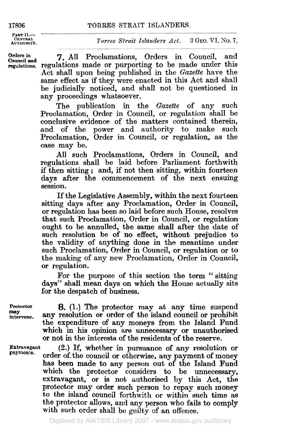**PART II.- CENTRAL**<br>**AUTHORITY** 

#### **AUTHORITY.** *Torres Strait Islanders Act.* **3 GEO.** VI. **SO. 7,**

**Council and** 

**orders** in *7.* **All** Proclamations, Orders in Council, and **regulations.** regulations made **or** purporting to be made under this Act shall upon being published in the *Gazette* have the same effect as if they were enacted in this Act and shall be judicially noticed, and shall not be questioned in any proceedings whatsoever.

> The publication in the *Gazette* of any such Proclamation, Order in Council, **or** regulation shall be conclusive evidence of the matters contained therein, and of the power and authority to make such Proclamation, Order in Council, **or** regulation, as the case may be.

> All such Proclamations, Orders in Council, and regulations shall be laid before Parliament forthwith if then sitting ; and, if not then sitting, within fourteen days after the commencement of the next ensuing session.

> If the Legislative Assembly, within the next fourteen sitting days after any Proclamation, Order in Council, **or** regulation has been so laid before such House, resolves that such Proclamation, Order in Council, or regulation ought to be annulled, the same shall after the date of such resolution be of no effect, without prejudice to the validity of anything done in the meantime under such Proclamation, Order in Council, **or** regulation **or** to the making of any new Proclamation, Order in Council, **or** regulation.

> For the purpose of this section the term "sitting days" shall mean days on which the House actually sits for the despatch of business.

**may** 

Protector **8.** (1.) The protector may at any time suspend<br> *may* **any resolution or order of the island council or prohibit intervene.** any resolution **or** order **of** the island council **or** prohibit the expenditure **of** any moneys from the Island Fund which in his opinion are unnecessary **or** unauthorised **or** not in the interests of the residents of the reserve.

**Extravagant payments.** 

**(2.)** If, whether in pursuance of any resolution **or**  order of the council or otherwise, any payment of money has been made to any person out of the Island **Fund**  which the protector considers to be unnecessary, extravagant, **or** is not authorised by this Act, the protector may order such person to repay such money to the island council forthwith **or** within such time as the protector allows, and any person who fails to comply with such order shall be guilty of an offence.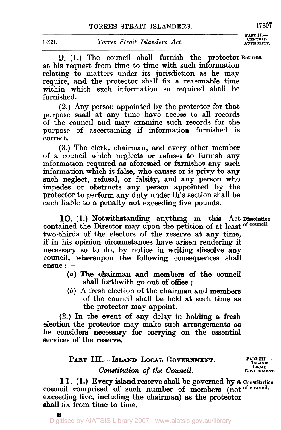**PART II.- CENTRAL** 

**9.** (1.) The council shall furnish the protector Returns. at his request from time to time with such information relating to matters under its jurisdiction as he may require, and the protector shall fix a reasonable time within which such information so required shall be furnished.

(2.) Any person appointed by the protector for that purpose shall at any time have access to all records of the council and may examine such records for the purpose of ascertaining if information furnished is correct.

(3.) The clerk, chairman, and every other member of a council which neglects or refuses to furnish any information required as aforesaid or furnishes any such information which is false, who causes or is privy to any such neglect, refusal, or falsity, and any person who impedes or obstructs any person appointed by the protector to perform any duty under this section shall be each liable to a penalty not exceeding five pounds.

contained the Director may upon the petition of at least of council. two-thirds of the electors of the reserve at any time, if in his opinion circumstances have arisen rendering it necessary so to do, by notice in writing dissolve any council, whereupon the following consequences shall ensue :--**10.** (1.) Notwithstanding anything in this Act Dissolution

- (*a*) The chairman and members of the council shall forthwith go out of office;
- (b) A fresh election of the chairman and members of the council shall be held at such time as the protector may appoint.

(2.) In the event of any delay in holding a fresh election the protector may make such arrangements as he considers necessary for carrying on the essential services of the reserve.

## **PART III.--ISLAND LOCAL GOVERNMENT.** PART III.  $Constant$  *of the Council.*

11. (1.) Every island reserve shall be governed by a Constitution council comprised of such number of members (not of council. exceeding five, including the chairman) as the protector shall fix from time to time.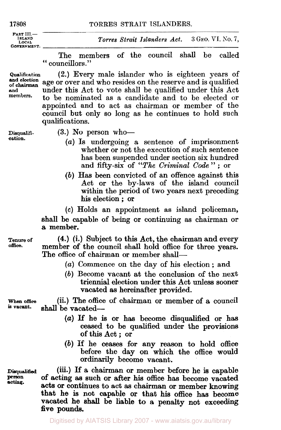| 17808                                                         | TORRES STRAIT ISLANDERS.                       |  |
|---------------------------------------------------------------|------------------------------------------------|--|
| $PART III$ —<br><b>ISLAND</b><br>LOCAL.<br><b>GOVERNMENT.</b> | Torres Strait Islanders Act. 3 GEO. VI. No. 7, |  |

The members of the council shall be called " councillors."

(2.) Every male islander who is eighteen years of age or over and who resides on the reserve and is qualified under this Act to vote shall be qualified under this Act to be nominated as a candidate and to be elected or **Qualification of and and election** 

appointed and to act as chairman or member of the council but only so long as he continues to hold such qualifications.

**Disqualifi-** (3.) No person who-

- **cation.** (a) Is undergoing a sentence of imprisonment whether or not the execution of such sentence has been suspended under section six hundred and fifty-six of *"The Criminal Code"* ; **or**
- (b) Has been convicted of an offence against this Act or the by-laws of the island council within the period of two years next preceding his election ; or

*(c)* Holds an appointment as island policeman, shall be capable of being or continuing as chairman or a member.

**Tenure of office.** 

**(4.)** (i.) Subject to this Act, the chairman and every member of the council shall hold office for three years. The office of chairman or member shall-

- *(a)* Commence on the day of his election ; and
- (b) Become vacant at the conclusion of the next triennial election under this Act unless sooner vacated as hereinafter provided.

(ii.) The office of chairman or member of **a** council when **office**  shall be vacated-

- *(a)* If he is or has become disqualified or has ceased to be qualified under the provisions of this Act ; or
- (b) If he ceases for any reason to hold office before the day on which the office **would**  ordinarily become vacant.

**(iii.)** If **a** chairman or member before he is capable of acting **as** such or after **his** office has become vacated acts or continues to act as chairman or member knowing that he is not capable or that his office has become

**Disqualified person acting.**